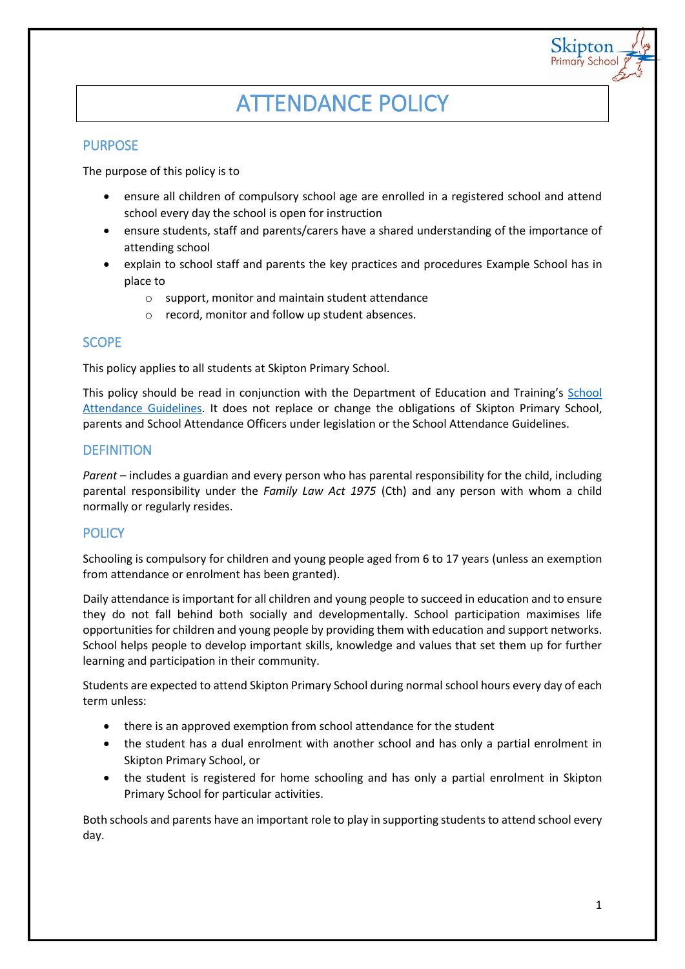# ATTENDANCE POLICY

# PURPOSE

The purpose of this policy is to

- ensure all children of compulsory school age are enrolled in a registered school and attend school every day the school is open for instruction
- ensure students, staff and parents/carers have a shared understanding of the importance of attending school
- explain to school staff and parents the key practices and procedures Example School has in place to
	- o support, monitor and maintain student attendance
	- o record, monitor and follow up student absences.

## **SCOPE**

This policy applies to all students at Skipton Primary School.

This policy should be read in conjunction with the Department of Education and Training's [School](https://www2.education.vic.gov.au/pal/attendance/guidance)  [Attendance Guidelines.](https://www2.education.vic.gov.au/pal/attendance/guidance) It does not replace or change the obligations of Skipton Primary School, parents and School Attendance Officers under legislation or the School Attendance Guidelines.

## **DEFINITION**

*Parent* – includes a guardian and every person who has parental responsibility for the child, including parental responsibility under the *Family Law Act 1975* (Cth) and any person with whom a child normally or regularly resides.

# **POLICY**

Schooling is compulsory for children and young people aged from 6 to 17 years (unless an exemption from attendance or enrolment has been granted).

Daily attendance is important for all children and young people to succeed in education and to ensure they do not fall behind both socially and developmentally. School participation maximises life opportunities for children and young people by providing them with education and support networks. School helps people to develop important skills, knowledge and values that set them up for further learning and participation in their community.

Students are expected to attend Skipton Primary School during normal school hours every day of each term unless:

- there is an approved exemption from school attendance for the student
- the student has a dual enrolment with another school and has only a partial enrolment in Skipton Primary School, or
- the student is registered for home schooling and has only a partial enrolment in Skipton Primary School for particular activities.

Both schools and parents have an important role to play in supporting students to attend school every day.

Skipton rimary Schoo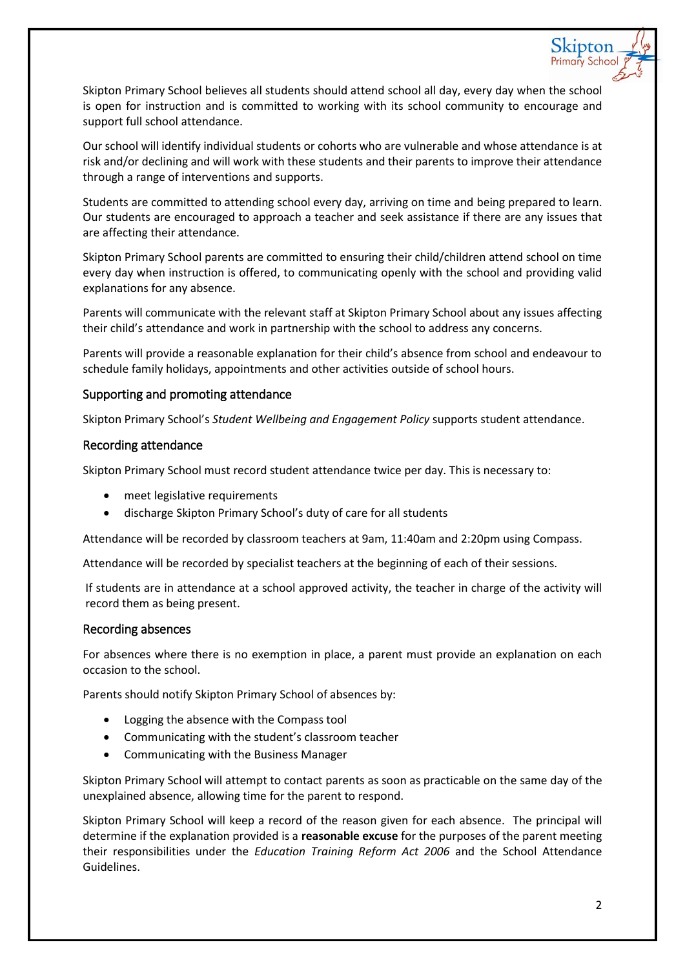

Skipton Primary School believes all students should attend school all day, every day when the school is open for instruction and is committed to working with its school community to encourage and support full school attendance.

Our school will identify individual students or cohorts who are vulnerable and whose attendance is at risk and/or declining and will work with these students and their parents to improve their attendance through a range of interventions and supports.

Students are committed to attending school every day, arriving on time and being prepared to learn. Our students are encouraged to approach a teacher and seek assistance if there are any issues that are affecting their attendance.

Skipton Primary School parents are committed to ensuring their child/children attend school on time every day when instruction is offered, to communicating openly with the school and providing valid explanations for any absence.

Parents will communicate with the relevant staff at Skipton Primary School about any issues affecting their child's attendance and work in partnership with the school to address any concerns.

Parents will provide a reasonable explanation for their child's absence from school and endeavour to schedule family holidays, appointments and other activities outside of school hours.

## Supporting and promoting attendance

Skipton Primary School's *Student Wellbeing and Engagement Policy* supports student attendance.

#### Recording attendance

Skipton Primary School must record student attendance twice per day. This is necessary to:

- meet legislative requirements
- discharge Skipton Primary School's duty of care for all students

Attendance will be recorded by classroom teachers at 9am, 11:40am and 2:20pm using Compass.

Attendance will be recorded by specialist teachers at the beginning of each of their sessions.

If students are in attendance at a school approved activity, the teacher in charge of the activity will record them as being present.

#### Recording absences

For absences where there is no exemption in place, a parent must provide an explanation on each occasion to the school.

Parents should notify Skipton Primary School of absences by:

- Logging the absence with the Compass tool
- Communicating with the student's classroom teacher
- Communicating with the Business Manager

Skipton Primary School will attempt to contact parents as soon as practicable on the same day of the unexplained absence, allowing time for the parent to respond.

Skipton Primary School will keep a record of the reason given for each absence. The principal will determine if the explanation provided is a **reasonable excuse** for the purposes of the parent meeting their responsibilities under the *Education Training Reform Act 2006* and the School Attendance Guidelines.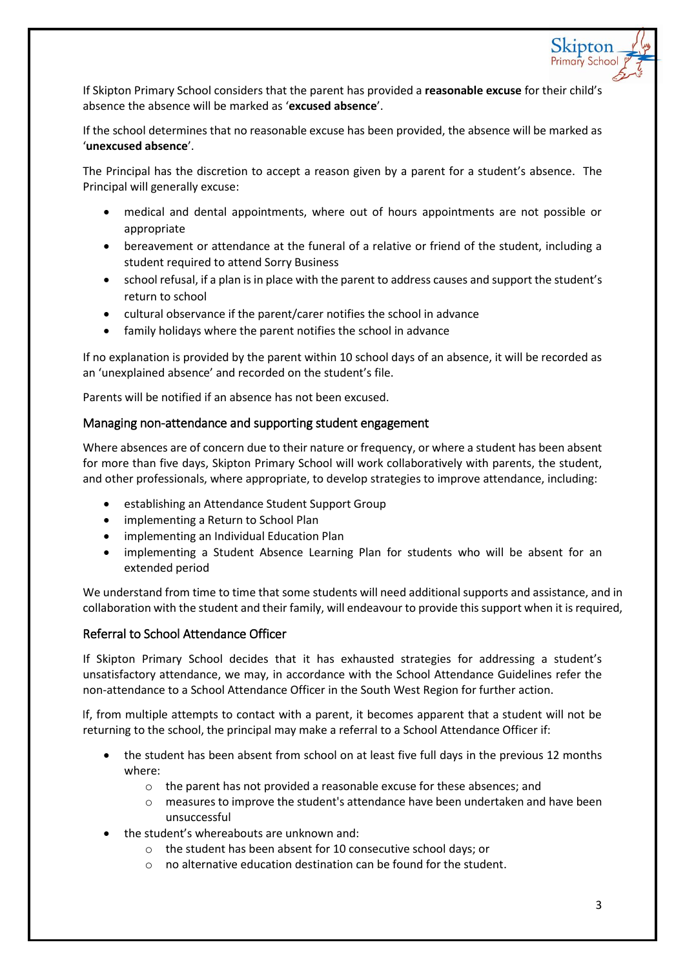

Skipton

If Skipton Primary School considers that the parent has provided a **reasonable excuse** for their child's absence the absence will be marked as '**excused absence**'.

If the school determines that no reasonable excuse has been provided, the absence will be marked as '**unexcused absence**'.

The Principal has the discretion to accept a reason given by a parent for a student's absence. The Principal will generally excuse:

- medical and dental appointments, where out of hours appointments are not possible or appropriate
- bereavement or attendance at the funeral of a relative or friend of the student, including a student required to attend Sorry Business
- school refusal, if a plan is in place with the parent to address causes and support the student's return to school
- cultural observance if the parent/carer notifies the school in advance
- family holidays where the parent notifies the school in advance

If no explanation is provided by the parent within 10 school days of an absence, it will be recorded as an 'unexplained absence' and recorded on the student's file.

Parents will be notified if an absence has not been excused.

#### Managing non-attendance and supporting student engagement

Where absences are of concern due to their nature or frequency, or where a student has been absent for more than five days, Skipton Primary School will work collaboratively with parents, the student, and other professionals, where appropriate, to develop strategies to improve attendance, including:

- establishing an Attendance Student Support Group
- implementing a Return to School Plan
- implementing an Individual Education Plan
- implementing a Student Absence Learning Plan for students who will be absent for an extended period

We understand from time to time that some students will need additional supports and assistance, and in collaboration with the student and their family, will endeavour to provide this support when it is required,

## Referral to School Attendance Officer

If Skipton Primary School decides that it has exhausted strategies for addressing a student's unsatisfactory attendance, we may, in accordance with the School Attendance Guidelines refer the non-attendance to a School Attendance Officer in the South West Region for further action.

If, from multiple attempts to contact with a parent, it becomes apparent that a student will not be returning to the school, the principal may make a referral to a School Attendance Officer if:

- the student has been absent from school on at least five full days in the previous 12 months where:
	- o the parent has not provided a reasonable excuse for these absences; and
	- $\circ$  measures to improve the student's attendance have been undertaken and have been unsuccessful
- the student's whereabouts are unknown and:
	- o the student has been absent for 10 consecutive school days; or
	- $\circ$  no alternative education destination can be found for the student.